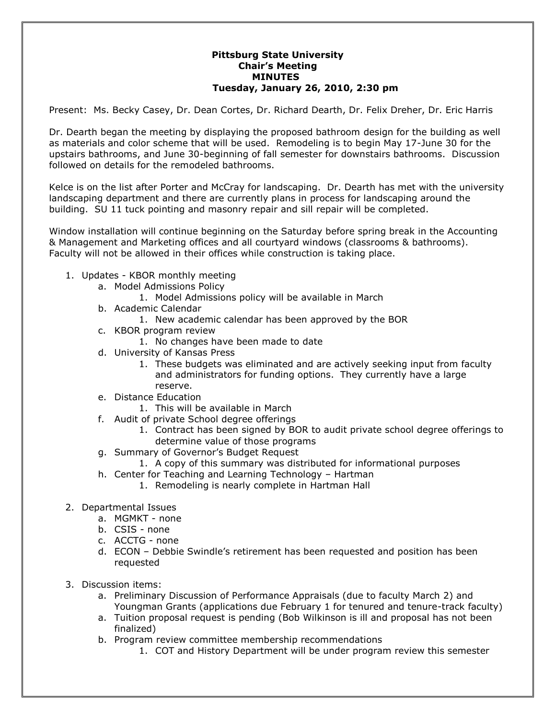## **Pittsburg State University Chair's Meeting MINUTES Tuesday, January 26, 2010, 2:30 pm**

Present: Ms. Becky Casey, Dr. Dean Cortes, Dr. Richard Dearth, Dr. Felix Dreher, Dr. Eric Harris

Dr. Dearth began the meeting by displaying the proposed bathroom design for the building as well as materials and color scheme that will be used. Remodeling is to begin May 17-June 30 for the upstairs bathrooms, and June 30-beginning of fall semester for downstairs bathrooms. Discussion followed on details for the remodeled bathrooms.

Kelce is on the list after Porter and McCray for landscaping. Dr. Dearth has met with the university landscaping department and there are currently plans in process for landscaping around the building. SU 11 tuck pointing and masonry repair and sill repair will be completed.

Window installation will continue beginning on the Saturday before spring break in the Accounting & Management and Marketing offices and all courtyard windows (classrooms & bathrooms). Faculty will not be allowed in their offices while construction is taking place.

- 1. Updates KBOR monthly meeting
	- a. Model Admissions Policy
		- 1. Model Admissions policy will be available in March
	- b. Academic Calendar
		- 1. New academic calendar has been approved by the BOR
	- c. KBOR program review
		- 1. No changes have been made to date
	- d. University of Kansas Press
		- 1. These budgets was eliminated and are actively seeking input from faculty and administrators for funding options. They currently have a large reserve.
	- e. Distance Education
		- 1. This will be available in March
	- f. Audit of private School degree offerings
		- 1. Contract has been signed by BOR to audit private school degree offerings to determine value of those programs
	- g. Summary of Governor's Budget Request
	- 1. A copy of this summary was distributed for informational purposes
	- h. Center for Teaching and Learning Technology Hartman
		- 1. Remodeling is nearly complete in Hartman Hall
- 2. Departmental Issues
	- a. MGMKT none
	- b. CSIS none
	- c. ACCTG none
	- d. ECON Debbie Swindle's retirement has been requested and position has been requested
- 3. Discussion items:
	- a. Preliminary Discussion of Performance Appraisals (due to faculty March 2) and Youngman Grants (applications due February 1 for tenured and tenure-track faculty)
	- a. Tuition proposal request is pending (Bob Wilkinson is ill and proposal has not been finalized)
	- b. Program review committee membership recommendations
		- 1. COT and History Department will be under program review this semester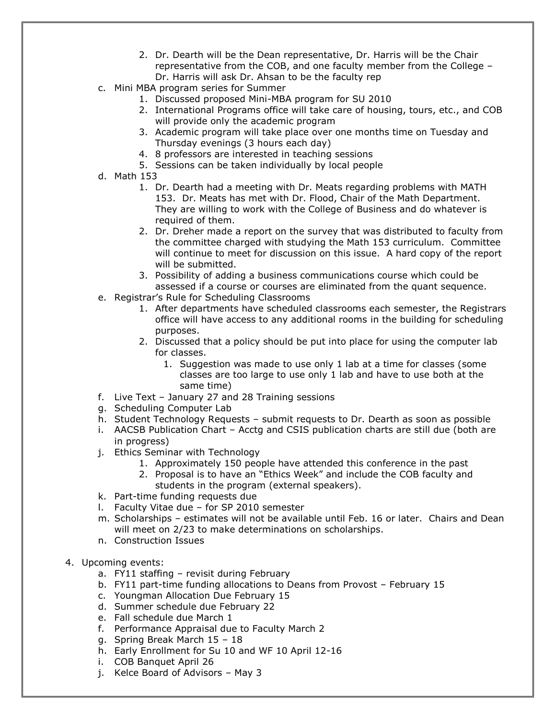- 2. Dr. Dearth will be the Dean representative, Dr. Harris will be the Chair representative from the COB, and one faculty member from the College – Dr. Harris will ask Dr. Ahsan to be the faculty rep
- c. Mini MBA program series for Summer
	- 1. Discussed proposed Mini-MBA program for SU 2010
	- 2. International Programs office will take care of housing, tours, etc., and COB will provide only the academic program
	- 3. Academic program will take place over one months time on Tuesday and Thursday evenings (3 hours each day)
	- 4. 8 professors are interested in teaching sessions
	- 5. Sessions can be taken individually by local people
- d. Math 153
	- 1. Dr. Dearth had a meeting with Dr. Meats regarding problems with MATH 153. Dr. Meats has met with Dr. Flood, Chair of the Math Department. They are willing to work with the College of Business and do whatever is required of them.
	- 2. Dr. Dreher made a report on the survey that was distributed to faculty from the committee charged with studying the Math 153 curriculum. Committee will continue to meet for discussion on this issue. A hard copy of the report will be submitted.
	- 3. Possibility of adding a business communications course which could be assessed if a course or courses are eliminated from the quant sequence.
- e. Registrar's Rule for Scheduling Classrooms
	- 1. After departments have scheduled classrooms each semester, the Registrars office will have access to any additional rooms in the building for scheduling purposes.
	- 2. Discussed that a policy should be put into place for using the computer lab for classes.
		- 1. Suggestion was made to use only 1 lab at a time for classes (some classes are too large to use only 1 lab and have to use both at the same time)
- f. Live Text January 27 and 28 Training sessions
- g. Scheduling Computer Lab
- h. Student Technology Requests submit requests to Dr. Dearth as soon as possible
- i. AACSB Publication Chart Acctg and CSIS publication charts are still due (both are in progress)
- j. Ethics Seminar with Technology
	- 1. Approximately 150 people have attended this conference in the past
	- 2. Proposal is to have an "Ethics Week" and include the COB faculty and students in the program (external speakers).
- k. Part-time funding requests due
- l. Faculty Vitae due for SP 2010 semester
- m. Scholarships estimates will not be available until Feb. 16 or later. Chairs and Dean will meet on 2/23 to make determinations on scholarships.
- n. Construction Issues
- 4. Upcoming events:
	- a. FY11 staffing revisit during February
	- b. FY11 part-time funding allocations to Deans from Provost February 15
	- c. Youngman Allocation Due February 15
	- d. Summer schedule due February 22
	- e. Fall schedule due March 1
	- f. Performance Appraisal due to Faculty March 2
	- g. Spring Break March 15 18
	- h. Early Enrollment for Su 10 and WF 10 April 12-16
	- i. COB Banquet April 26
	- j. Kelce Board of Advisors May 3